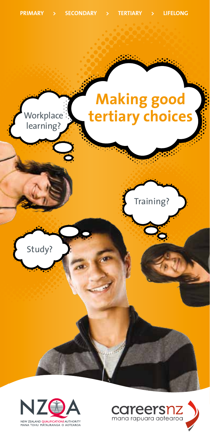



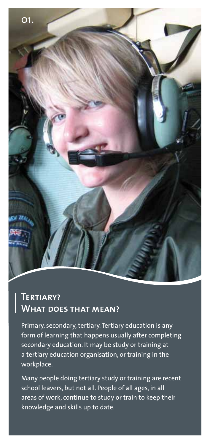

# **Tertiary? What does that mean?**

Primary, secondary, tertiary. Tertiary education is any form of learning that happens usually after completing secondary education. It may be study or training at a tertiary education organisation, or training in the workplace.

Many people doing tertiary study or training are recent school leavers, but not all. People of all ages, in all areas of work, continue to study or train to keep their knowledge and skills up to date.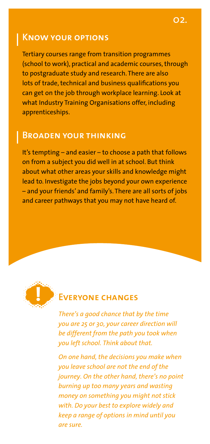## **Know your options**

Tertiary courses range from transition programmes (school to work), practical and academic courses, through to postgraduate study and research. There are also lots of trade, technical and business qualifications you can get on the job through workplace learning. Look at what Industry Training Organisations offer, including apprenticeships.

#### **Broaden your thinking**

It's tempting – and easier – to choose a path that follows on from a subject you did well in at school. But think about what other areas your skills and knowledge might lead to. Investigate the jobs beyond your own experience – and your friends' and family's. There are all sorts of jobs and career pathways that you may not have heard of.



#### **Everyone changes**

*There's a good chance that by the time you are 25 or 30, your career direction will be different from the path you took when you left school. Think about that.*

*On one hand, the decisions you make when you leave school are not the end of the journey. On the other hand, there's no point burning up too many years and wasting money on something you might not stick with. Do your best to explore widely and keep a range of options in mind until you are sure.*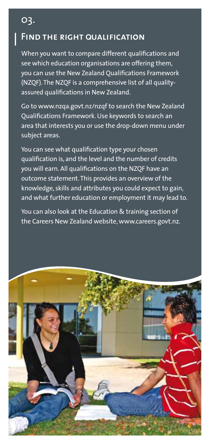# **Find the right** Q**ualification**

03.

When you want to compare different qualifications and see which education organisations are offering them, you can use the New Zealand Qualifications Framework (NZQF). The NZQF is a comprehensive list of all qualityassured qualifications in New Zealand.

Go to www.nzqa.govt.nz/nzqf to search the New Zealand Qualifications Framework. Use keywords to search an area that interests you or use the drop-down menu under subject areas.

You can see what qualification type your chosen qualification is, and the level and the number of credits you will earn. All qualifications on the NZQF have an outcome statement. This provides an overview of the knowledge, skills and attributes you could expect to gain, and what further education or employment it may lead to.

You can also look at the Education & training section of the Careers New Zealand website, www.careers.govt.nz.

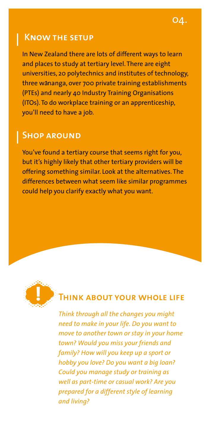#### **Know the setup**

In New Zealand there are lots of different ways to learn and places to study at tertiary level. There are eight universities, 20 polytechnics and institutes of technology, three wananga, over 700 private training establishments (PTEs) and nearly 40 Industry Training Organisations (ITOs). To do workplace training or an apprenticeship, you'll need to have a job.

#### **Shop around**

You've found a tertiary course that seems right for you, but it's highly likely that other tertiary providers will be offering something similar. Look at the alternatives. The differences between what seem like similar programmes could help you clarify exactly what you want.



#### **HINK ABOUT YOUR WHOLE LIFE**

*Think through all the changes you might need to make in your life. Do you want to move to another town or stay in your home town? Would you miss your friends and family? How will you keep up a sport or hobby you love? Do you want a big loan? Could you manage study or training as well as part-time or casual work? Are you prepared for a different style of learning and living?*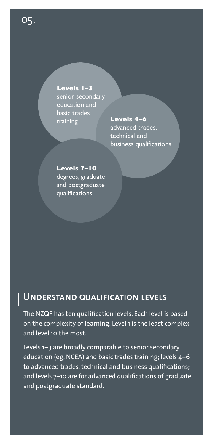**Levels 1–3** senior secondary education and basic trades training **Levels 4–6**

advanced trades, technical and business qualifications

**Levels 7–10** degrees, graduate and postgraduate qualifications

# **Understand** Q**ualification levels**

The NZQF has ten qualification levels. Each level is based on the complexity of learning. Level 1 is the least complex and level 10 the most.

Levels 1–3 are broadly comparable to senior secondary education (eg, NCEA) and basic trades training; levels 4–6 to advanced trades, technical and business qualifications; and levels 7–10 are for advanced qualifications of graduate and postgraduate standard.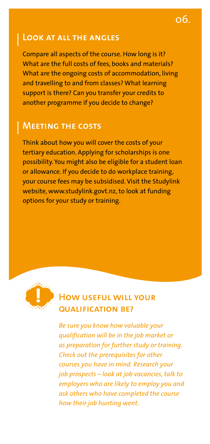# **Look at all the angles**

Compare all aspects of the course. How long is it? What are the full costs of fees, books and materials? What are the ongoing costs of accommodation, living and travelling to and from classes? What learning support is there? Can you transfer your credits to another programme if you decide to change?

#### **Meeting the costs**

Think about how you will cover the costs of your tertiary education. Applying for scholarships is one possibility. You might also be eligible for a student loan or allowance. If you decide to do workplace training, your course fees may be subsidised. Visit the Studylink website, www.studylink.govt.nz, to look at funding options for your study or training.



## **How useful will your**  Q**ualification be?**

*Be sure you know how valuable your qualification will be in the job market or as preparation for further study or training. Check out the prerequisites for other courses you have in mind. Research your job prospects – look at job vacancies, talk to employers who are likely to employ you and ask others who have completed the course how their job hunting went.*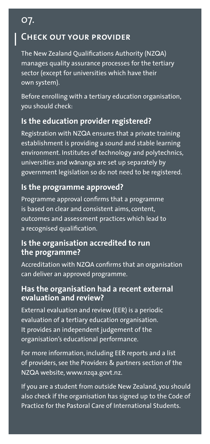# **Check out your provider**

07.

The New Zealand Qualifications Authority (NZQA) manages quality assurance processes for the tertiary sector (except for universities which have their own system).

Before enrolling with a tertiary education organisation, you should check:

#### **Is the education provider registered?**

Registration with NZQA ensures that a private training establishment is providing a sound and stable learning environment. Institutes of technology and polytechnics, universities and wananga are set up separately by government legislation so do not need to be registered.

#### **Is the programme approved?**

Programme approval confirms that a programme is based on clear and consistent aims, content, outcomes and assessment practices which lead to a recognised qualification.

#### **Is the organisation accredited to run the programme?**

Accreditation with NZQA confirms that an organisation can deliver an approved programme.

#### **Has the organisation had a recent external evaluation and review?**

External evaluation and review (EER) is a periodic evaluation of a tertiary education organisation. It provides an independent judgement of the organisation's educational performance.

For more information, including EER reports and a list of providers, see the Providers & partners section of the NZQA website, www.nzqa.govt.nz.

If you are a student from outside New Zealand, you should also check if the organisation has signed up to the Code of Practice for the Pastoral Care of International Students.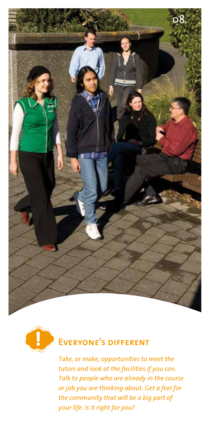



# **Everyone's different**

*Take, or make, opportunities to meet the tutors and look at the facilities if you can. Talk to people who are already in the course or job you are thinking about. Get a feel for the community that will be a big part of your life. Is it right for you?*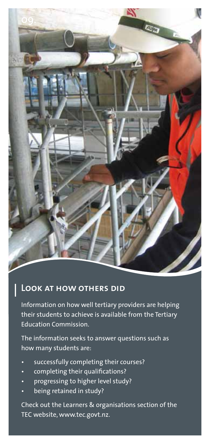

## **Look at how others did**

Information on how well tertiary providers are helping their students to achieve is available from the Tertiary Education Commission.

The information seeks to answer questions such as how many students are:

- successfully completing their courses?
- completing their qualifications?
- progressing to higher level study?
- being retained in study?

Check out the Learners & organisations section of the TEC website, www.tec.govt.nz.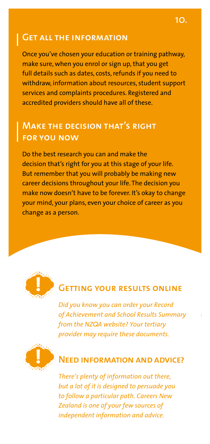#### **Get all the information**

Once you've chosen your education or training pathway, make sure, when you enrol or sign up, that you get full details such as dates, costs, refunds if you need to withdraw, information about resources, student support services and complaints procedures. Registered and accredited providers should have all of these.

## **Make the decision that's right for you now**

Do the best research you can and make the decision that's right for you at this stage of your life. But remember that you will probably be making new career decisions throughout your life. The decision you make now doesn't have to be forever. It's okay to change your mind, your plans, even your choice of career as you change as a person.



# **Getting your results online**

*Did you know you can order your Record of Achievement and School Results Summary from the NZ*Q*A website? Your tertiary provider may require these documents.* 



## **Need information and advice?**

*There's plenty of information out there, but a lot of it is designed to persuade you to follow a particular path. Careers New Zealand is one of your few sources of independent information and advice.*